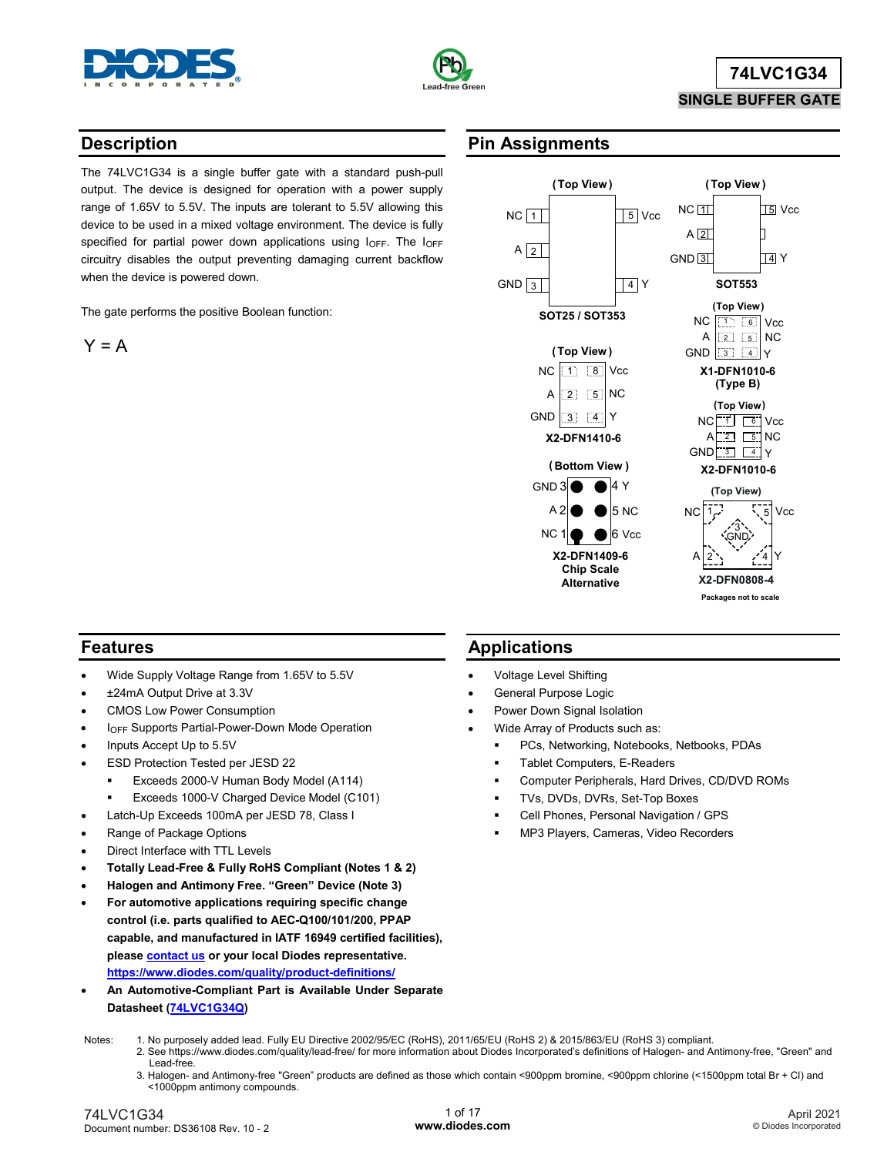



# **74LVC1G34 SINGLE BUFFER GATE**

### **Description**

The 74LVC1G34 is a single buffer gate with a standard push-pull output. The device is designed for operation with a power supply range of 1.65V to 5.5V. The inputs are tolerant to 5.5V allowing this device to be used in a mixed voltage environment. The device is fully specified for partial power down applications using  $I_{\text{OFF}}$ . The  $I_{\text{OFF}}$ circuitry disables the output preventing damaging current backflow when the device is powered down.

The gate performs the positive Boolean function:

$$
\mathsf{Y} = \mathsf{A}
$$

### **Pin Assignments**



### **Features**

- Wide Supply Voltage Range from 1.65V to 5.5V
- ±24mA Output Drive at 3.3V
- CMOS Low Power Consumption
- **IOFF Supports Partial-Power-Down Mode Operation**
- Inputs Accept Up to 5.5V
- ESD Protection Tested per JESD 22
	- **Exceeds 2000-V Human Body Model (A114)**
	- Exceeds 1000-V Charged Device Model (C101)
	- Latch-Up Exceeds 100mA per JESD 78, Class I
- Range of Package Options
- Direct Interface with TTL Levels
- **Totally Lead-Free & Fully RoHS Compliant (Notes 1 & 2)**
- **Halogen and Antimony Free. "Green" Device (Note 3)**
- **For automotive applications requiring specific change control (i.e. parts qualified to AEC-Q100/101/200, PPAP capable, and manufactured in IATF 16949 certified facilities), pleas[e contact us](https://www.diodes.com/about/contact-us/) or your local Diodes representative. <https://www.diodes.com/quality/product-definitions/>**
- **An Automotive-Compliant Part is Available Under Separate Datasheet [\(74LVC1G34Q\)](http://www.diodes.com/_files/datasheets/74LVC1G34Q.pdf)**

### **Applications**

- Voltage Level Shifting
- General Purpose Logic
- Power Down Signal Isolation
- Wide Array of Products such as:
	- PCs, Networking, Notebooks, Netbooks, PDAs
	- Tablet Computers, E-Readers
	- Computer Peripherals, Hard Drives, CD/DVD ROMs
	- TVs, DVDs, DVRs, Set-Top Boxes
	- Cell Phones, Personal Navigation / GPS
	- MP3 Players, Cameras, Video Recorders

- Notes: 1. No purposely added lead. Fully EU Directive 2002/95/EC (RoHS), 2011/65/EU (RoHS 2) & 2015/863/EU (RoHS 3) compliant.
	- 2. See https://www.diodes.com/quality/lead-free/ for more information about Diodes Incorporated's definitions of Halogen- and Antimony-free, "Green" and Lead-free.
		- 3. Halogen- and Antimony-free "Green" products are defined as those which contain <900ppm bromine, <900ppm chlorine (<1500ppm total Br + Cl) and <1000ppm antimony compounds.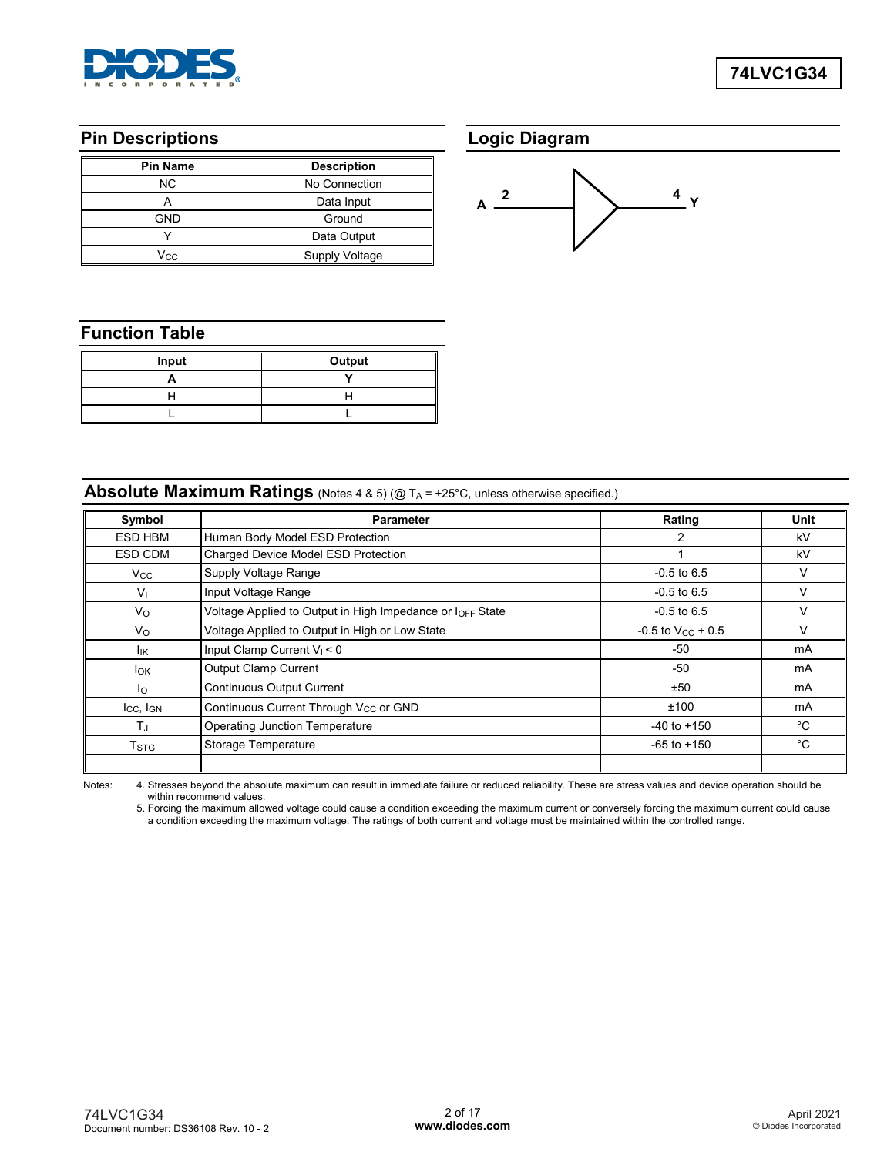

### **Pin Descriptions**

| <b>Pin Name</b> | <b>Description</b> |
|-----------------|--------------------|
| ΝC              | No Connection      |
|                 | Data Input         |
| <b>GND</b>      | Ground             |
|                 | Data Output        |
| Vcc             | Supply Voltage     |

## **Logic Diagram**



# **Function Table**

| Input | Output |
|-------|--------|
|       |        |
|       |        |
|       |        |

## **Absolute Maximum Ratings** (Notes 4 & 5) (@ TA = +25°C, unless otherwise specified.)

| Symbol              | <b>Parameter</b>                                          | Rating                   | Unit |
|---------------------|-----------------------------------------------------------|--------------------------|------|
| ESD HBM             | Human Body Model ESD Protection                           | 2                        | kV   |
| ESD CDM             | Charged Device Model ESD Protection                       |                          | kV   |
| $V_{\rm CC}$        | Supply Voltage Range                                      | $-0.5$ to 6.5            | v    |
| V <sub>1</sub>      | Input Voltage Range                                       | $-0.5$ to 6.5            | V    |
| $V_{\rm O}$         | Voltage Applied to Output in High Impedance or IOFF State | $-0.5$ to 6.5            | ν    |
| $V_{\rm O}$         | Voltage Applied to Output in High or Low State            | $-0.5$ to $V_{CC}$ + 0.5 | v    |
| lικ                 | Input Clamp Current $V_1 < 0$                             | $-50$                    | mA   |
| $I_{OK}$            | <b>Output Clamp Current</b>                               | -50                      | mA   |
| $I_{\Omega}$        | Continuous Output Current                                 | ±50                      | mA   |
| $I_{CC}$ , $I_{GN}$ | Continuous Current Through V <sub>CC</sub> or GND         | ±100                     | mA   |
| $T_{\rm J}$         | <b>Operating Junction Temperature</b>                     | $-40$ to $+150$          | °C   |
| T <sub>STG</sub>    | Storage Temperature                                       | $-65$ to $+150$          | °C   |
|                     |                                                           |                          |      |

Notes: 4. Stresses beyond the absolute maximum can result in immediate failure or reduced reliability. These are stress values and device operation should be within recommend values.

5. Forcing the maximum allowed voltage could cause a condition exceeding the maximum current or conversely forcing the maximum current could cause a condition exceeding the maximum voltage. The ratings of both current and voltage must be maintained within the controlled range.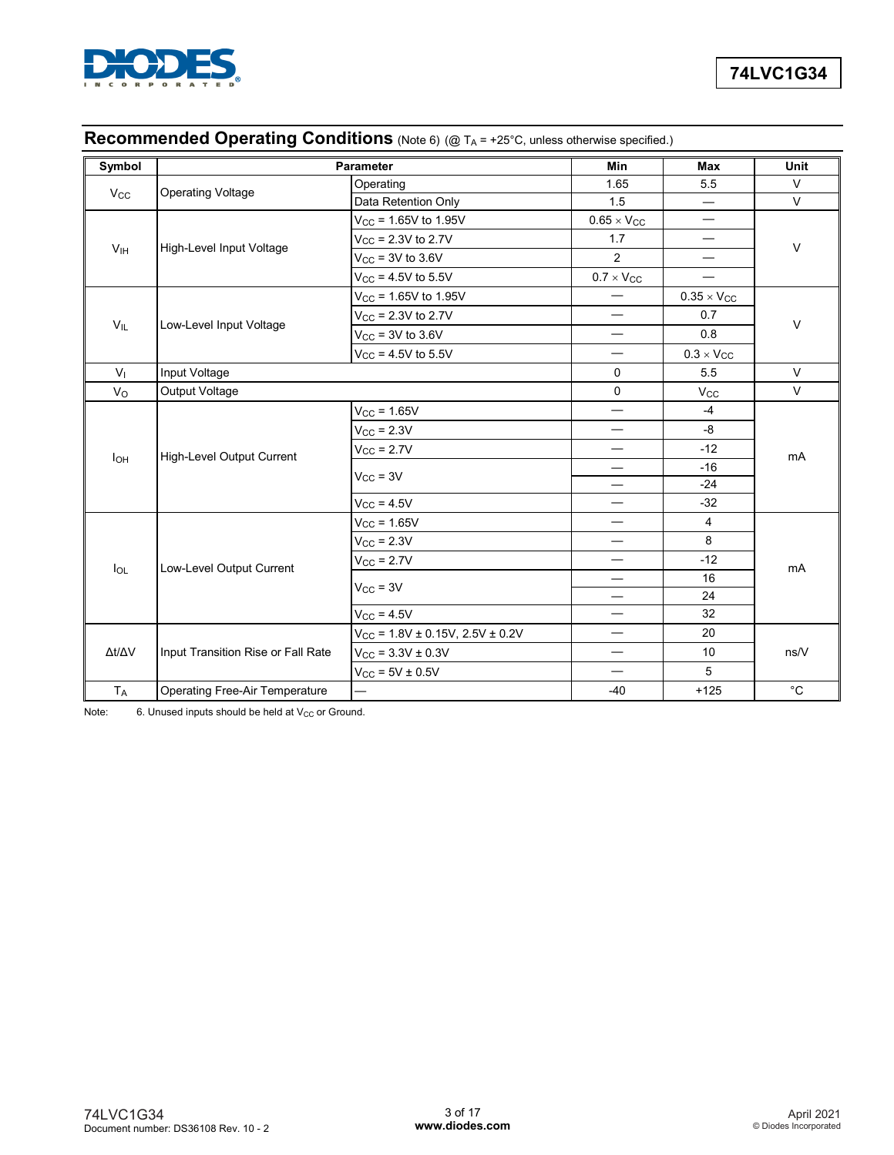

# **Recommended Operating Conditions** (Note 6) (@ T<sub>A</sub> = +25°C, unless otherwise specified.)

| Symbol          | <b>Parameter</b>                      |                                      | Min                              | <b>Max</b>                      | Unit         |  |
|-----------------|---------------------------------------|--------------------------------------|----------------------------------|---------------------------------|--------------|--|
|                 |                                       | Operating                            | 1.65                             | 5.5                             | V            |  |
| $V_{CC}$        | <b>Operating Voltage</b>              | Data Retention Only                  | 1.5                              | $\overline{\phantom{0}}$        | $\vee$       |  |
|                 |                                       | $V_{CC}$ = 1.65V to 1.95V            | $0.65 \times V_{CC}$             | $\hspace{0.1mm}-\hspace{0.1mm}$ |              |  |
|                 |                                       | $V_{CC}$ = 2.3V to 2.7V              | 1.7                              | $\overline{\phantom{0}}$        | V            |  |
| V <sub>IH</sub> | High-Level Input Voltage              | $V_{CC}$ = 3V to 3.6V                | 2                                |                                 |              |  |
|                 |                                       | $V_{CC}$ = 4.5V to 5.5V              | $0.7 \times V_{CC}$              |                                 |              |  |
|                 |                                       | $V_{CC}$ = 1.65V to 1.95V            |                                  | $0.35 \times V_{CC}$            |              |  |
|                 |                                       | $V_{CC}$ = 2.3V to 2.7V              | $\overbrace{\phantom{12322111}}$ | 0.7                             | V            |  |
| $V_{IL}$        | Low-Level Input Voltage               | $V_{CC}$ = 3V to 3.6V                | $\overline{\phantom{0}}$         | 0.8                             |              |  |
|                 |                                       | $V_{CC}$ = 4.5V to 5.5V              | —                                | $0.3 \times V_{CC}$             |              |  |
| V <sub>1</sub>  | Input Voltage                         |                                      | $\mathbf 0$                      | 5.5                             | $\vee$       |  |
| Vo              | Output Voltage                        |                                      | $\mathbf 0$                      | $V_{CC}$                        | $\vee$       |  |
|                 |                                       | $V_{CC}$ = 1.65V                     | —                                | $-4$                            |              |  |
|                 |                                       | $V_{CC}$ = 2.3V                      | —                                | -8                              | mA           |  |
| <b>I</b> OH     | High-Level Output Current             | $V_{CC}$ = 2.7V                      | —                                | $-12$                           |              |  |
|                 |                                       | $V_{CC}$ = 3V                        | —                                | $-16$                           |              |  |
|                 |                                       |                                      | —                                | $-24$                           |              |  |
|                 |                                       | $V_{CC}$ = 4.5V                      | $\overline{\phantom{0}}$         | $-32$                           |              |  |
|                 |                                       | $V_{CC} = 1.65V$                     | $\qquad \qquad$                  | 4                               |              |  |
|                 |                                       | $V_{CC}$ = 2.3V                      |                                  | 8                               |              |  |
| $I_{OL}$        | Low-Level Output Current              | $V_{\text{CC}}$ = 2.7V               | —                                | $-12$                           | mA           |  |
|                 |                                       | $V_{CC}$ = 3V                        | $\overline{\phantom{0}}$         | 16                              |              |  |
|                 |                                       |                                      | —                                | 24                              |              |  |
|                 |                                       | $V_{CC}$ = 4.5V                      |                                  | 32                              |              |  |
|                 |                                       | $V_{CC}$ = 1.8V ± 0.15V, 2.5V ± 0.2V | $\overline{\phantom{0}}$         | 20                              |              |  |
| Δt/ΔV           | Input Transition Rise or Fall Rate    | $V_{CC}$ = 3.3V ± 0.3V               | $\overline{\phantom{0}}$         | 10                              | ns/V         |  |
|                 |                                       | $V_{CC}$ = 5V $\pm$ 0.5V             | $\overline{\phantom{0}}$         | 5                               |              |  |
| $T_A$           | <b>Operating Free-Air Temperature</b> |                                      | $-40$                            | $+125$                          | $^{\circ}$ C |  |

Note:  $6.$  Unused inputs should be held at  $V_{CC}$  or Ground.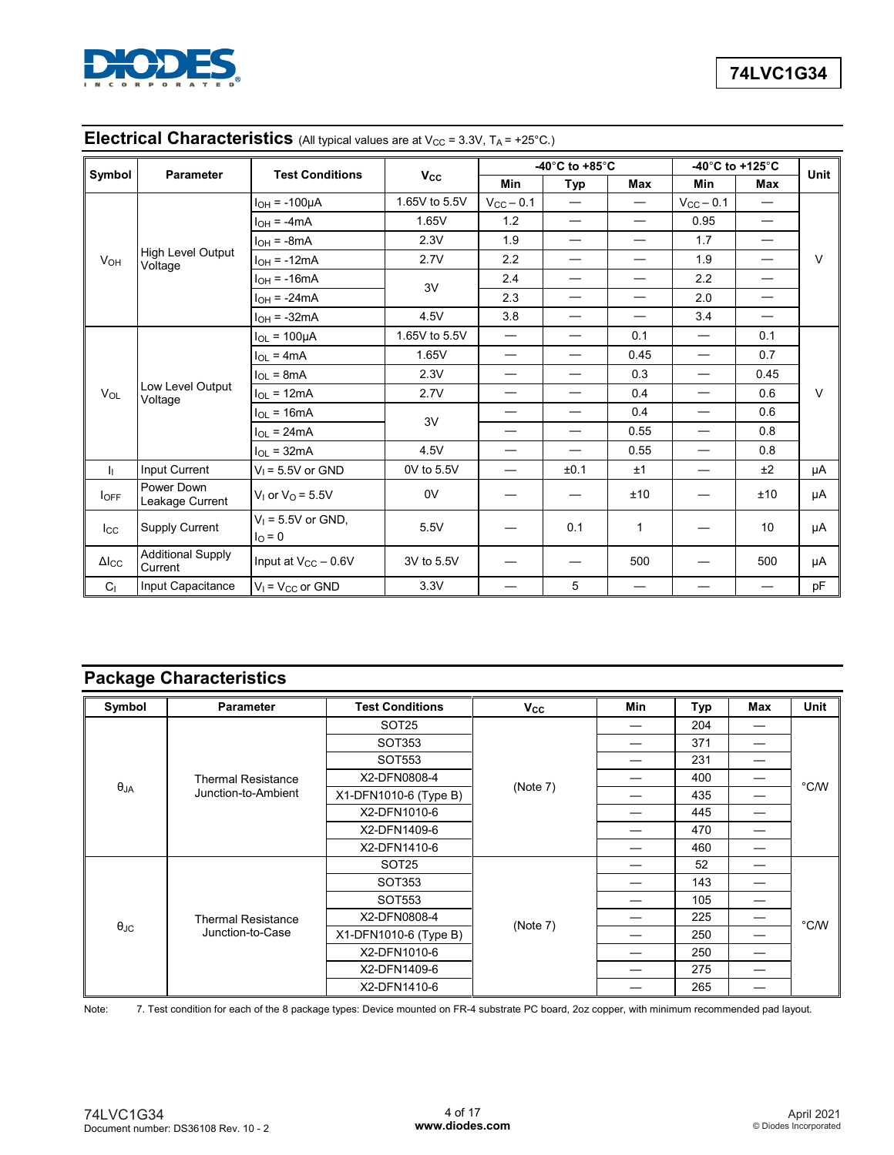

| Symbol                  | Parameter                           | <b>Test Conditions</b>                   | $V_{\rm CC}$   |                          | -40 $^{\circ}$ C to +85 $^{\circ}$ C |                          |                          | -40 $^{\circ}$ C to +125 $^{\circ}$ C | <b>Unit</b> |
|-------------------------|-------------------------------------|------------------------------------------|----------------|--------------------------|--------------------------------------|--------------------------|--------------------------|---------------------------------------|-------------|
|                         |                                     |                                          |                | Min                      | <b>Typ</b>                           | Max                      | Min                      | Max                                   |             |
|                         | $I_{OH} = -100\mu A$                | 1.65V to 5.5V                            | $V_{CC}$ - 0.1 |                          |                                      | $V_{CC}$ $-$ 0.1         | $\overline{\phantom{0}}$ |                                       |             |
|                         |                                     | $I_{OH} = -4mA$                          | 1.65V          | 1.2                      | $\overline{\phantom{0}}$             |                          | 0.95                     | $\overline{\phantom{0}}$              |             |
|                         |                                     | $I_{OH} = -8mA$                          | 2.3V           | 1.9                      | $\overbrace{\phantom{12322111}}$     | $\overline{\phantom{0}}$ | 1.7                      | $\overbrace{\phantom{123221111}}$     |             |
| <b>V<sub>OH</sub></b>   | High Level Output<br>Voltage        | $I_{OH} = -12mA$                         | 2.7V           | 2.2                      | $\overbrace{\phantom{12322111}}$     |                          | 1.9                      | $\overline{\phantom{0}}$              | $\vee$      |
|                         |                                     | $I_{OH}$ = -16mA                         |                | 2.4                      | —                                    |                          | 2.2                      | $\overline{\phantom{0}}$              |             |
|                         |                                     | $I_{OH}$ = -24mA                         | 3V             | 2.3                      |                                      |                          | 2.0                      | $\overline{\phantom{0}}$              |             |
|                         |                                     | $I_{OH} = -32mA$                         | 4.5V           | 3.8                      |                                      |                          | 3.4                      | $\overline{\phantom{0}}$              |             |
|                         |                                     | $I_{OL}$ = 100 $\mu$ A                   | 1.65V to 5.5V  | $\overline{\phantom{0}}$ |                                      | 0.1                      | $\overline{\phantom{0}}$ | 0.1                                   |             |
|                         | Low Level Output<br>VOL<br>Voltage  | $I_{OL}$ = 4mA                           | 1.65V          | $\overline{\phantom{0}}$ | $\overbrace{\phantom{12322111}}$     | 0.45                     | $\overline{\phantom{0}}$ | 0.7                                   |             |
|                         |                                     | $I_{OL}$ = 8mA                           | 2.3V           | $\overline{\phantom{0}}$ | —                                    | 0.3                      | $\overline{\phantom{0}}$ | 0.45                                  |             |
|                         |                                     | $I_{OL} = 12mA$                          | 2.7V           | $\overline{\phantom{0}}$ | $\overbrace{\phantom{12322111}}$     | 0.4                      | —                        | 0.6                                   | $\vee$      |
|                         |                                     | $I_{OL}$ = 16mA                          | 3V             | —                        | $\overline{\phantom{0}}$             | 0.4                      | $\overline{\phantom{0}}$ | 0.6                                   |             |
|                         |                                     | $I_{OL}$ = 24mA                          |                | —                        | $\overbrace{\phantom{12322111}}$     | 0.55                     | $\overline{\phantom{0}}$ | 0.8                                   |             |
|                         |                                     | $I_{OL}$ = 32mA                          | 4.5V           | —                        | $\overline{\phantom{0}}$             | 0.55                     | $\overline{\phantom{0}}$ | 0.8                                   |             |
| h.                      | Input Current                       | $V_1 = 5.5V$ or GND                      | 0V to 5.5V     |                          | ±0.1                                 | ±1                       |                          | ±2                                    | μA          |
| $I_{OFF}$               | Power Down<br>Leakage Current       | $V1$ or $VO$ = 5.5V                      | 0V             |                          |                                      | ±10                      |                          | ±10                                   | μA          |
| $_{\text{Lcc}}$         | Supply Current                      | $V_1 = 5.5V$ or GND,<br>$I_{\Omega} = 0$ | 5.5V           |                          | 0.1                                  | $\mathbf 1$              |                          | 10                                    | μA          |
| $\Delta$ <sub>ICC</sub> | <b>Additional Supply</b><br>Current | Input at $V_{CC}$ – 0.6V                 | 3V to 5.5V     |                          |                                      | 500                      |                          | 500                                   | μA          |
| C <sub>1</sub>          | Input Capacitance                   | $V_1 = V_{CC}$ or GND                    | 3.3V           |                          | 5                                    |                          |                          | —                                     | pF          |

# **Electrical Characteristics** (All typical values are at V<sub>CC</sub> = 3.3V, T<sub>A</sub> = +25°C.)

# **Package Characteristics**

| Symbol            | <b>Parameter</b>          | <b>Test Conditions</b> | $V_{\rm CC}$ | Min | Typ | Max | <b>Unit</b>    |
|-------------------|---------------------------|------------------------|--------------|-----|-----|-----|----------------|
|                   |                           | SOT <sub>25</sub>      |              |     | 204 |     |                |
|                   |                           | SOT353                 |              |     | 371 |     |                |
|                   |                           | SOT553                 |              |     | 231 |     |                |
|                   | <b>Thermal Resistance</b> | X2-DFN0808-4           |              |     | 400 |     | $^{\circ}$ C/W |
| $\theta_{JA}$     | Junction-to-Ambient       | X1-DFN1010-6 (Type B)  | (Note 7)     |     | 435 |     |                |
|                   |                           | X2-DFN1010-6           |              |     | 445 |     |                |
|                   |                           | X2-DFN1409-6           |              |     | 470 |     |                |
|                   |                           | X2-DFN1410-6           |              |     | 460 | –   |                |
|                   |                           | SOT <sub>25</sub>      |              |     | 52  |     |                |
|                   |                           | SOT353                 |              |     | 143 |     |                |
|                   |                           | SOT553                 |              |     | 105 |     |                |
|                   | <b>Thermal Resistance</b> | X2-DFN0808-4           |              |     | 225 |     | $^{\circ}$ C/W |
| $\theta_{\rm JC}$ | Junction-to-Case          | X1-DFN1010-6 (Type B)  | (Note 7)     |     | 250 |     |                |
|                   |                           | X2-DFN1010-6           |              |     | 250 |     |                |
|                   |                           | X2-DFN1409-6           |              |     | 275 |     |                |
|                   |                           | X2-DFN1410-6           |              |     | 265 |     |                |

Note: 7. Test condition for each of the 8 package types: Device mounted on FR-4 substrate PC board, 2oz copper, with minimum recommended pad layout.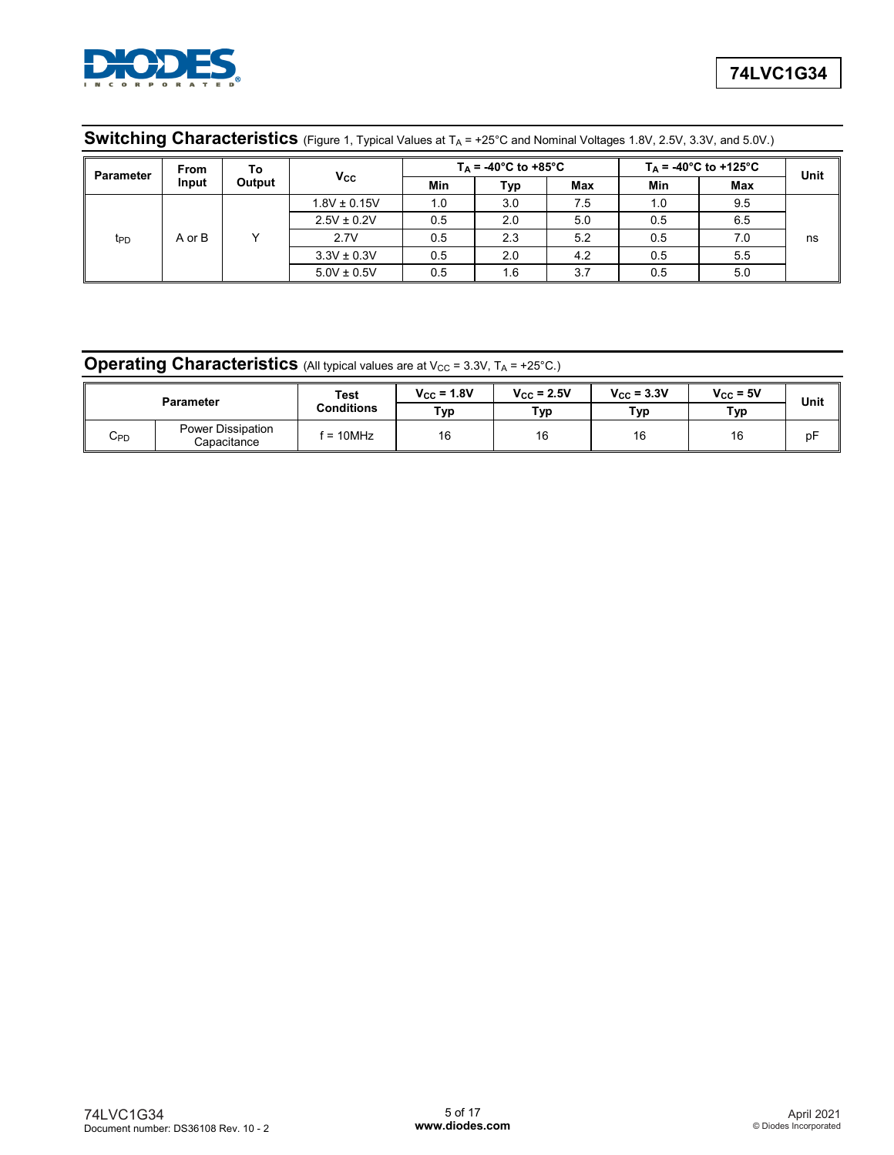

| <b>Parameter</b> | <b>From</b> | To              |                  |     | $T_A = -40^{\circ}C$ to $+85^{\circ}C$ |     |     | $T_A = -40^{\circ}$ C to +125°C | Unit |
|------------------|-------------|-----------------|------------------|-----|----------------------------------------|-----|-----|---------------------------------|------|
|                  | Input       | Output          | Vcc              | Min | Typ                                    | Max | Min | Max                             |      |
|                  |             |                 | $1.8V \pm 0.15V$ | 1.0 | 3.0                                    | 7.5 | 1.0 | 9.5                             |      |
|                  |             |                 | $2.5V \pm 0.2V$  | 0.5 | 2.0                                    | 5.0 | 0.5 | 6.5                             |      |
| t <sub>PD</sub>  | A or B      |                 | 2.7V             | 0.5 | 2.3                                    | 5.2 | 0.5 | 7.0                             | ns   |
|                  |             | $3.3V \pm 0.3V$ | 0.5              | 2.0 | 4.2                                    | 0.5 | 5.5 |                                 |      |
|                  |             | $5.0V \pm 0.5V$ | 0.5              | 1.6 | 3.7                                    | 0.5 | 5.0 |                                 |      |

# **Switching Characteristics** (Figure 1, Typical Values at T<sub>A</sub> = +25°C and Nominal Voltages 1.8V, 2.5V, 3.3V, and 5.0V.)

# **Operating Characteristics** (All typical values are at V<sub>CC</sub> = 3.3V, T<sub>A</sub> = +25°C.)

|               | Parameter                        | Test<br><b>Conditions</b> | $V_{CC}$ = 1.8V<br>Typ | $V_{\text{CC}}$ = 2.5V<br>Тур | $V_{\text{CC}} = 3.3V$<br>Typ | $V_{\text{CC}} = 5V$<br>Тур | Unit |
|---------------|----------------------------------|---------------------------|------------------------|-------------------------------|-------------------------------|-----------------------------|------|
| $\sim$<br>∪PD | Power Dissipation<br>Capacitance | $f = 10$ MHz              | 16                     | 16                            | 16                            | 16                          | рF   |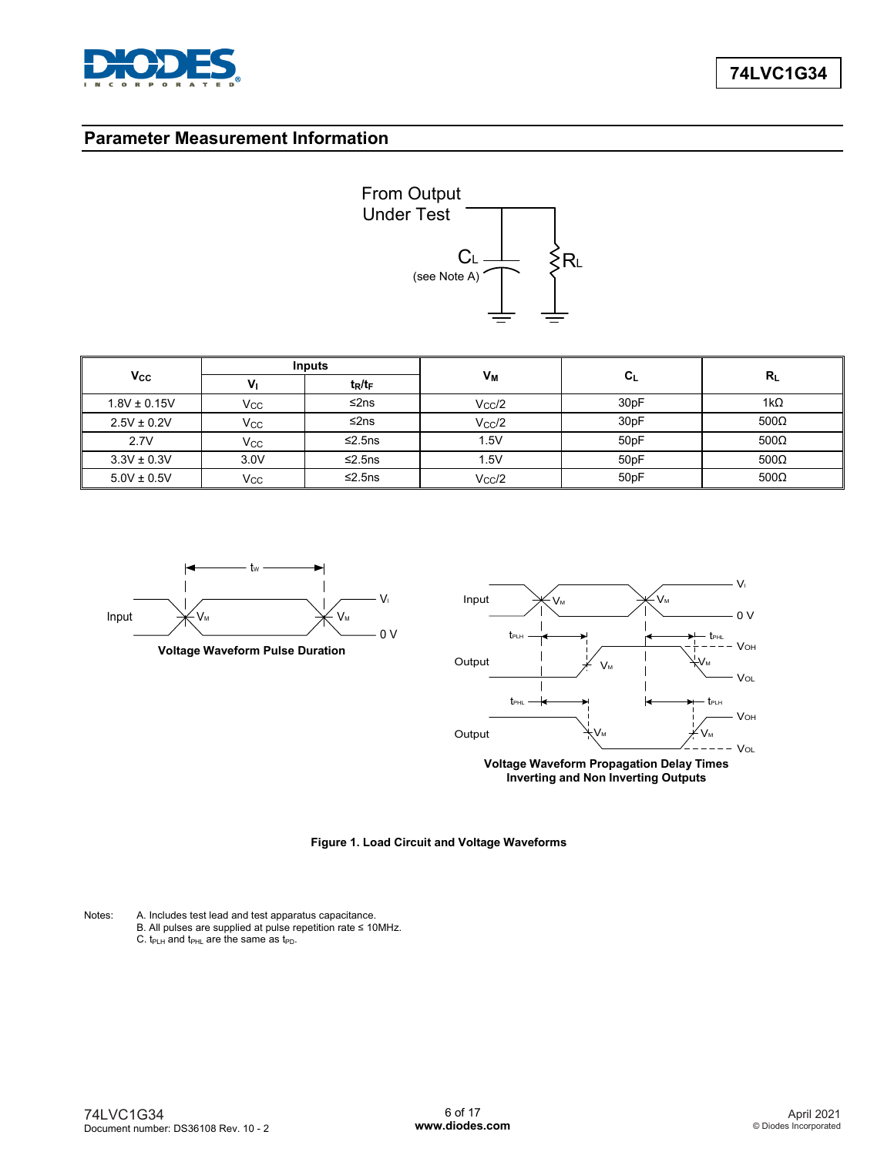

### **Parameter Measurement Information**



|                  |              | <b>Inputs</b> |                 |                  |             |  |
|------------------|--------------|---------------|-----------------|------------------|-------------|--|
| Vcc              | $V_{1}$      | $t_R/t_F$     | Vм              | $c_{L}$          | $R_L$       |  |
| $1.8V \pm 0.15V$ | $V_{\rm CC}$ | ≤2ns          | $V_{CC}/2$      | 30 <sub>pF</sub> | 1k $\Omega$ |  |
| $2.5V \pm 0.2V$  | Vcc          | ≤2ns          | $V_{CC}/2$      | 30 <sub>pF</sub> | $500\Omega$ |  |
| 2.7V             | Vcc          | ≤2.5 $ns$     | 1.5V            | 50pF             | $500\Omega$ |  |
| $3.3V \pm 0.3V$  | 3.0V         | ≤2.5 $ns$     | 1.5V            | 50pF             | $500\Omega$ |  |
| $5.0V \pm 0.5V$  | Vcc          | ≤2.5 $ns$     | $V_{\rm CC}$ /2 | 50pF             | $500\Omega$ |  |





**Voltage Waveform Propagation Delay Times Inverting and Non Inverting Outputs**



Notes: A. Includes test lead and test apparatus capacitance.

B. All pulses are supplied at pulse repetition rate ≤ 10MHz. C.  $t_{\text{PLH}}$  and  $t_{\text{PHL}}$  are the same as  $t_{\text{PD}}$ .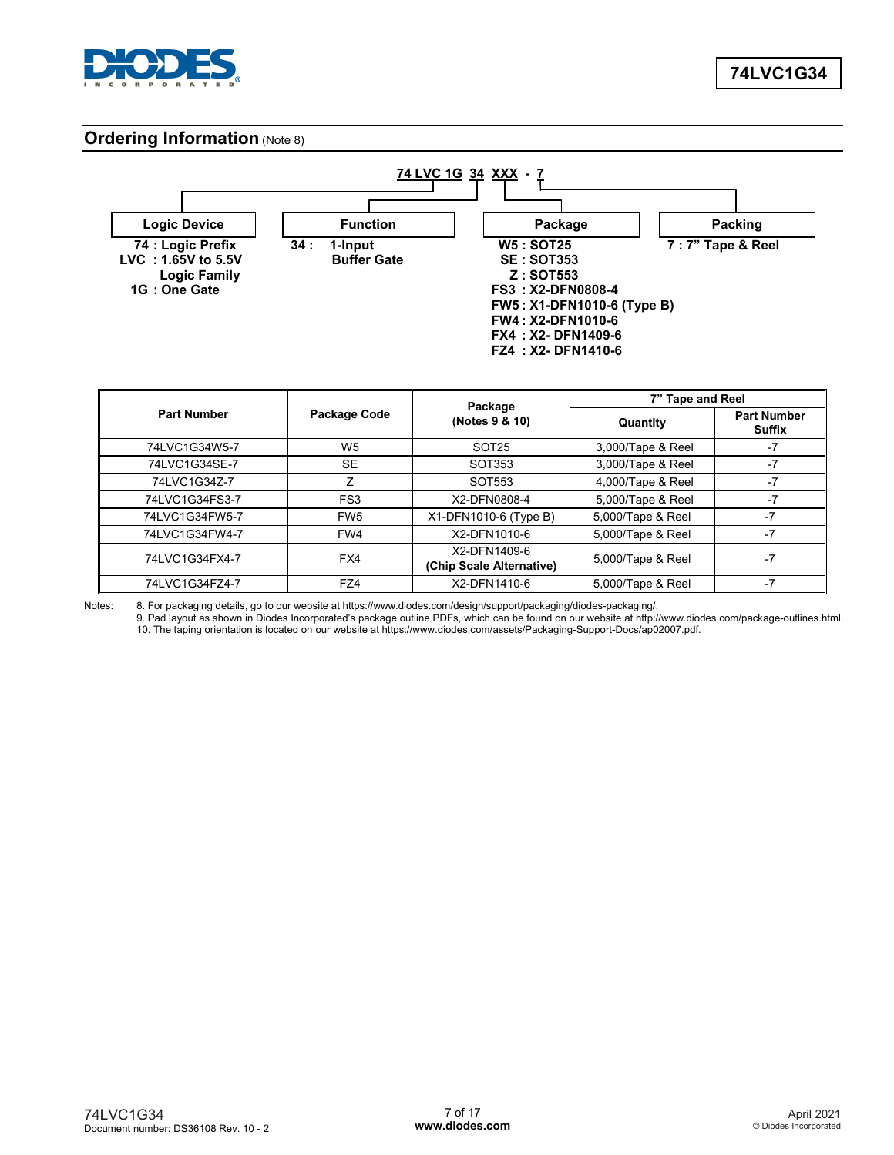

### **Ordering Information** (Note 8)



|                    |                 | Package                                  | 7" Tape and Reel  |                              |  |
|--------------------|-----------------|------------------------------------------|-------------------|------------------------------|--|
| <b>Part Number</b> | Package Code    | (Notes 9 & 10)                           | Quantity          | <b>Part Number</b><br>Suffix |  |
| 74LVC1G34W5-7      | W <sub>5</sub>  | SOT <sub>25</sub>                        | 3,000/Tape & Reel | -7                           |  |
| 74LVC1G34SE-7      | <b>SE</b>       | SOT353                                   | 3,000/Tape & Reel | $-7$                         |  |
| 74LVC1G34Z-7       | Ζ               | SOT553                                   | 4,000/Tape & Reel | -7                           |  |
| 74LVC1G34FS3-7     | FS <sub>3</sub> | X2-DFN0808-4                             | 5,000/Tape & Reel | $-7$                         |  |
| 74LVC1G34FW5-7     | FW <sub>5</sub> | X1-DFN1010-6 (Type B)                    | 5,000/Tape & Reel | $-7$                         |  |
| 74LVC1G34FW4-7     | FW4             | X2-DFN1010-6                             | 5,000/Tape & Reel | $-7$                         |  |
| 74LVC1G34FX4-7     | FX4             | X2-DFN1409-6<br>(Chip Scale Alternative) | 5,000/Tape & Reel | $-7$                         |  |
| 74LVC1G34FZ4-7     | FZ4             | X2-DFN1410-6                             | 5,000/Tape & Reel | -7                           |  |

Notes: 8. For packaging details, go to our website at https://www.diodes.com/design/support/packaging/diodes-packaging/.

9. Pad layout as shown in Diodes Incorporated's package outline PDFs, which can be found on our website at http://www.diodes.com/package-outlines.html. 10. The taping orientation is located on our website at https://www.diodes.com/assets/Packaging-Support-Docs/ap02007.pdf.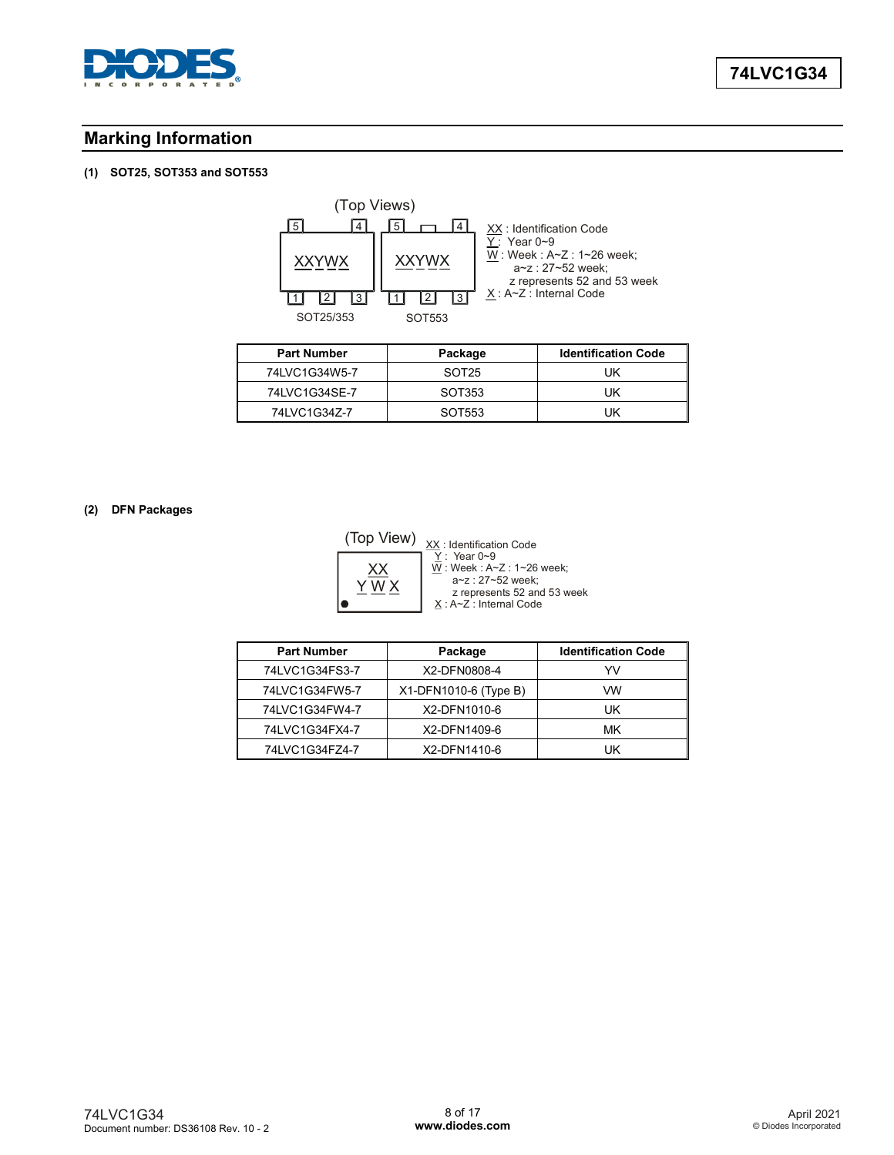

# **Marking Information**

### **(1) SOT25, SOT353 and SOT553**



| <b>Part Number</b> | Package           | <b>Identification Code</b> |
|--------------------|-------------------|----------------------------|
| 74LVC1G34W5-7      | SOT <sub>25</sub> | UΚ                         |
| 74LVC1G34SE-7      | SOT353            | UΚ                         |
| 74LVC1G34Z-7       | SOT553            | UΚ                         |

### **(2) DFN Packages**



<u>X</u> ∶ A∼Z : Internal Code : Identification Code : Year 0~9 : Week : A~Z : 1~26 week; a~z : 27~52 week; z represents 52 and 53 week

| <b>Part Number</b><br>Package |                       | <b>Identification Code</b> |
|-------------------------------|-----------------------|----------------------------|
| 74LVC1G34FS3-7                | X2-DFN0808-4          | YV                         |
| 74LVC1G34FW5-7                | X1-DFN1010-6 (Type B) | VW                         |
| 74LVC1G34FW4-7                | X2-DFN1010-6          | UK                         |
| 74LVC1G34FX4-7                | X2-DFN1409-6          | МK                         |
| 74LVC1G34FZ4-7                | X2-DFN1410-6          | UK                         |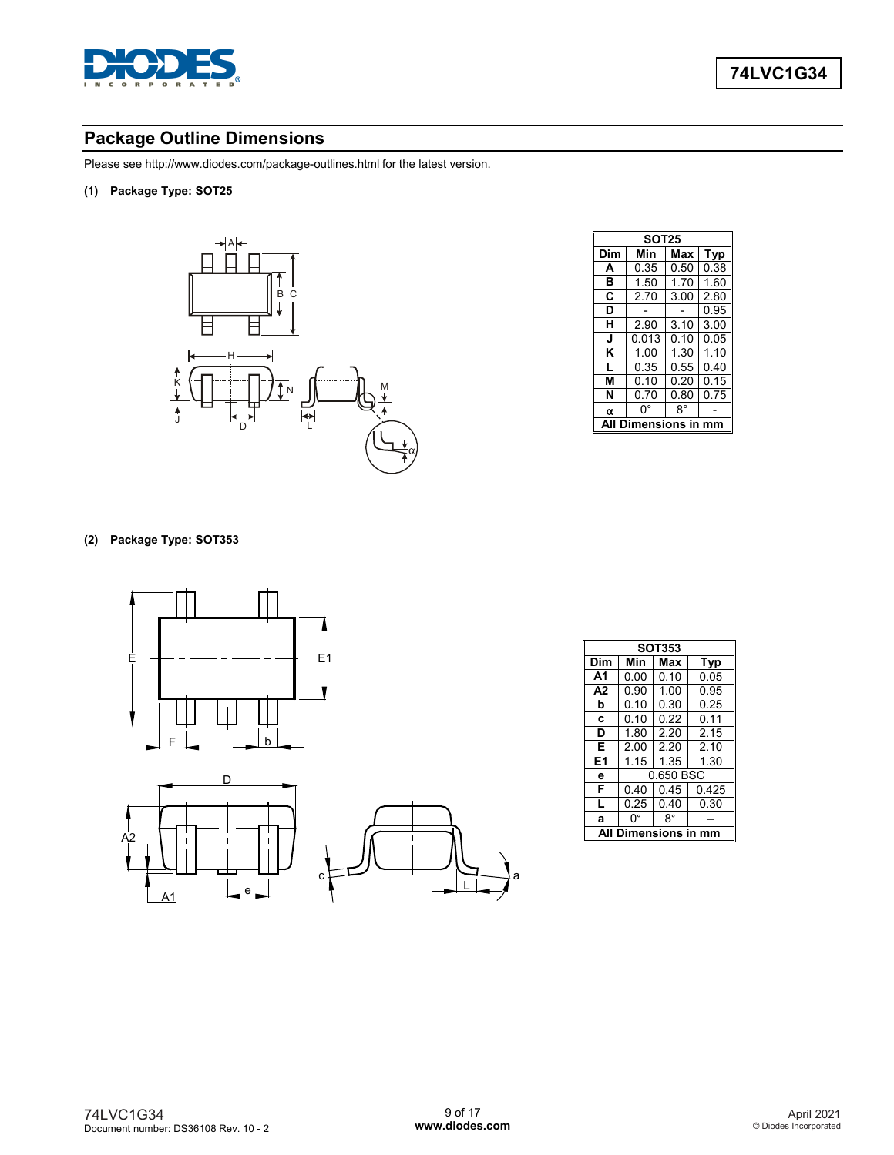

# **Package Outline Dimensions**

Please see http://www.diodes.com/package-outlines.html for the latest version.

**(1) Package Type: SOT25**



|             | <b>SOT25</b> |      |      |  |
|-------------|--------------|------|------|--|
| Dim         | Min          | Max  | Typ  |  |
| A           | 0.35         | 0.50 | 0.38 |  |
| в           | 1.50         | 1.70 | 1.60 |  |
| C           | 2.70         | 3.00 | 2.80 |  |
| D           |              |      | 0.95 |  |
| н           | 2.90         | 3.10 | 3.00 |  |
| J           | 0.013        | 0.10 | 0.05 |  |
| κ           | 1.00         | 1.30 | 1.10 |  |
| L           | 0.35         | 0.55 | 0.40 |  |
| м           | 0.10         | 0.20 | 0.15 |  |
| N           | 0.70         | 0.80 | 0.75 |  |
| α           | 0°           | R°   |      |  |
| mensions in |              |      |      |  |

### **(2) Package Type: SOT353**



| <b>SOT353</b>  |                          |      |       |  |
|----------------|--------------------------|------|-------|--|
| Dim            | Min<br>Max<br><b>Typ</b> |      |       |  |
| A <sub>1</sub> | 0.00                     | 0.10 | 0.05  |  |
| A2             | 0.90                     | 1.00 | 0.95  |  |
| b              | 0.10                     | 0.30 | 0.25  |  |
| C              | 0.10                     | 0.22 | 0.11  |  |
| D              | 1.80                     | 2.20 | 2.15  |  |
| Е              | 2.00                     | 2.20 | 2.10  |  |
| E1             | 1.15                     | 1.35 | 1.30  |  |
| е              | 0.650 BSC                |      |       |  |
| F              | 0.40                     | 0.45 | 0.425 |  |
| L              | 0.25                     | 0.40 | 0.30  |  |
| a              | n٠                       | 8°   |       |  |
| ıensions       |                          |      |       |  |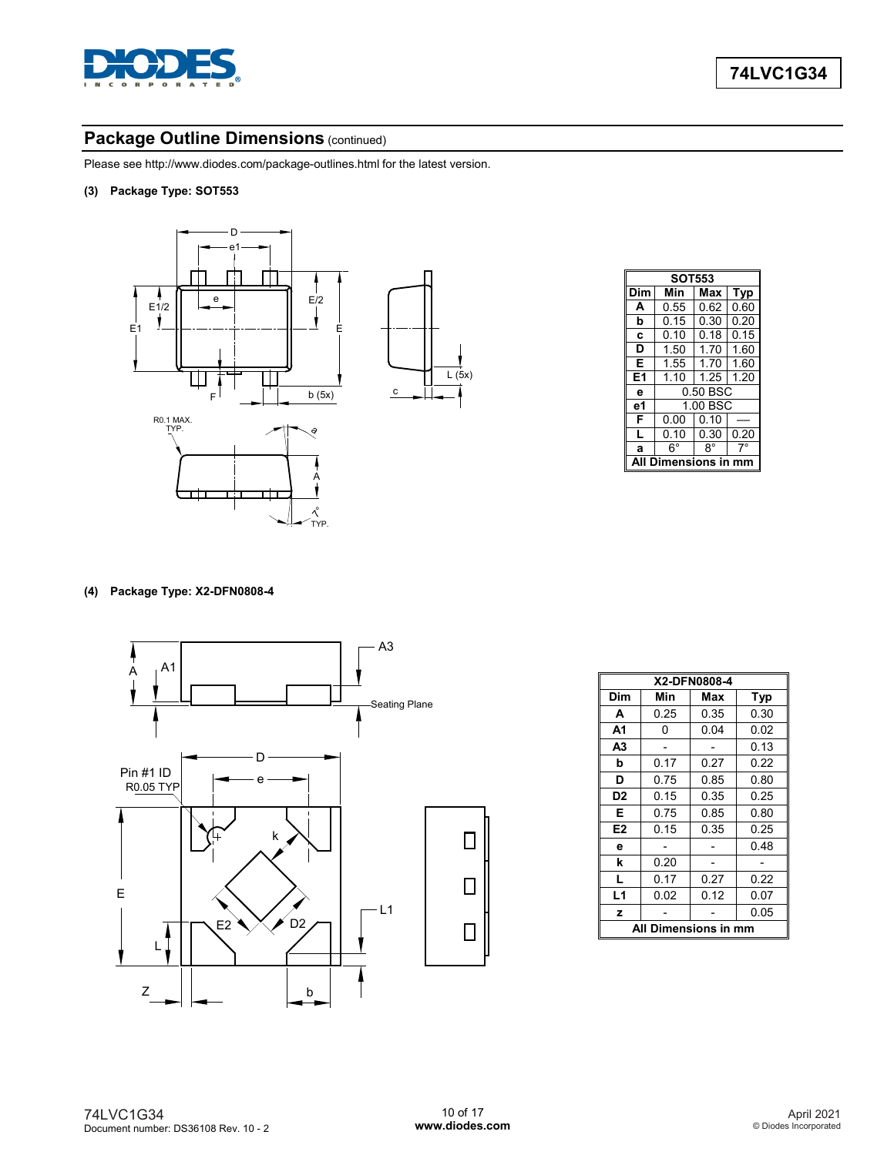

# **Package Outline Dimensions (continued)**

Please see http://www.diodes.com/package-outlines.html for the latest version.

**(3) Package Type: SOT553**



|                | <b>SOT553</b> |          |      |  |
|----------------|---------------|----------|------|--|
| Dim            | Min           | Max      | Typ  |  |
| A              | 0.55          | 0.62     | 0.60 |  |
| b              | 0.15          | 0.30     | 0.20 |  |
| C              | 0.10          | 0.18     | 0.15 |  |
| D              | 1.50          | 1.70     | 1.60 |  |
| Е              | 1.55          | 1.70     | 1.60 |  |
| E <sub>1</sub> | 1.10          | 1.25     | 1.20 |  |
| e              | 0.50 BSC      |          |      |  |
| е1             |               | 1.00 BSC |      |  |
| F              | 0.00          | 0.10     |      |  |
| L              | 0.10          | 0.30     | 0.20 |  |
| a              | $6^{\circ}$   | R°       |      |  |
|                | Dimensions in |          |      |  |

### **(4) Package Type: X2-DFN0808-4**



|                      | X2-DFN0808-4 |      |      |  |
|----------------------|--------------|------|------|--|
| Dim                  | Min          | Max  | Typ  |  |
| A                    | 0.25         | 0.35 | 0.30 |  |
| A <sub>1</sub>       | 0            | 0.04 | 0.02 |  |
| A <sub>3</sub>       |              |      | 0.13 |  |
| b                    | 0.17         | 0.27 | 0.22 |  |
| D                    | 0.75         | 0.85 | 0.80 |  |
| D <sub>2</sub>       | 0.15         | 0.35 | 0.25 |  |
| Е                    | 0.75         | 0.85 | 0.80 |  |
| E <sub>2</sub>       | 0.15         | 0.35 | 0.25 |  |
| e                    |              |      | 0.48 |  |
| k                    | 0.20         |      |      |  |
| L                    | 0.17         | 0.27 | 0.22 |  |
| L <sub>1</sub>       | 0.02         | 0.12 | 0.07 |  |
| z                    |              |      | 0.05 |  |
| All Dimensions in mm |              |      |      |  |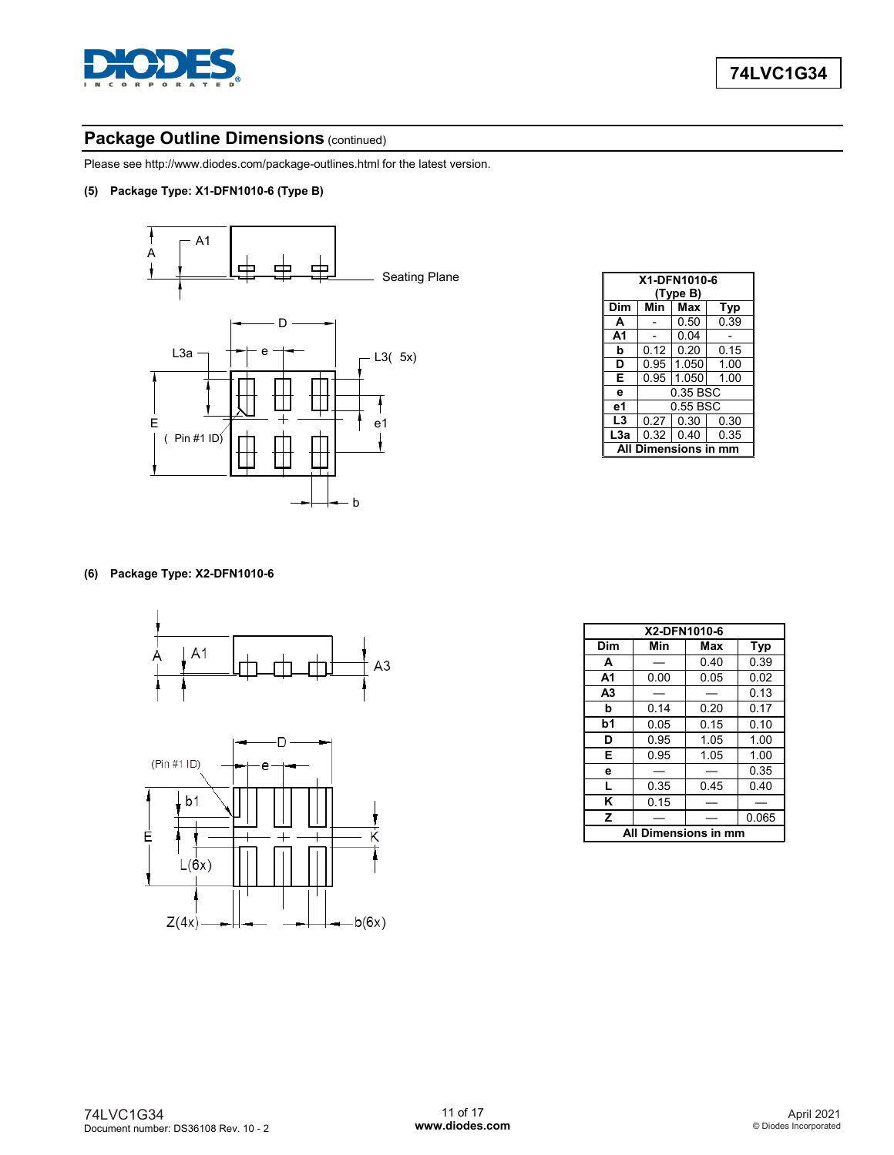

# **Package Outline Dimensions (continued)**

Please see http://www.diodes.com/package-outlines.html for the latest version.

**(5) Package Type: X1-DFN1010-6 (Type B)**



|                | X1-DFN1010-6     |          |      |  |
|----------------|------------------|----------|------|--|
|                |                  | (Type B) |      |  |
| Dim            | Min              | Max      | Typ  |  |
| A              |                  | 0.50     | 0.39 |  |
| A <sub>1</sub> |                  | 0.04     |      |  |
| b              | 0.12             | 0.20     | 0.15 |  |
| D              | 0.95             | 1.050    | 1.00 |  |
| Е              | 0.95             | 1.050    | 1.00 |  |
| е              | 0.35 BSC         |          |      |  |
| e1             | 0.55 BSC         |          |      |  |
| L3             | 0.27             | 0.30     | 0.30 |  |
| L3a            | 0.32             | 0.40     | 0.35 |  |
| A              | Dimensions in mm |          |      |  |

### **(6) Package Type: X2-DFN1010-6**





|                      | X2-DFN1010-6 |      |       |  |
|----------------------|--------------|------|-------|--|
| Dim                  | Min          | Max  | Typ   |  |
| A                    |              | 0.40 | 0.39  |  |
| А1                   | 0.00         | 0.05 | 0.02  |  |
| A3                   |              |      | 0.13  |  |
| b                    | 0.14         | 0.20 | 0.17  |  |
| b1                   | 0.05         | 0.15 | 0.10  |  |
| D                    | 0.95         | 1.05 | 1.00  |  |
| Е                    | 0.95         | 1.05 | 1.00  |  |
| e                    |              |      | 0.35  |  |
| L                    | 0.35         | 0.45 | 0.40  |  |
| ĸ                    | 0.15         |      |       |  |
| z                    |              |      | 0.065 |  |
| All Dimensions in mm |              |      |       |  |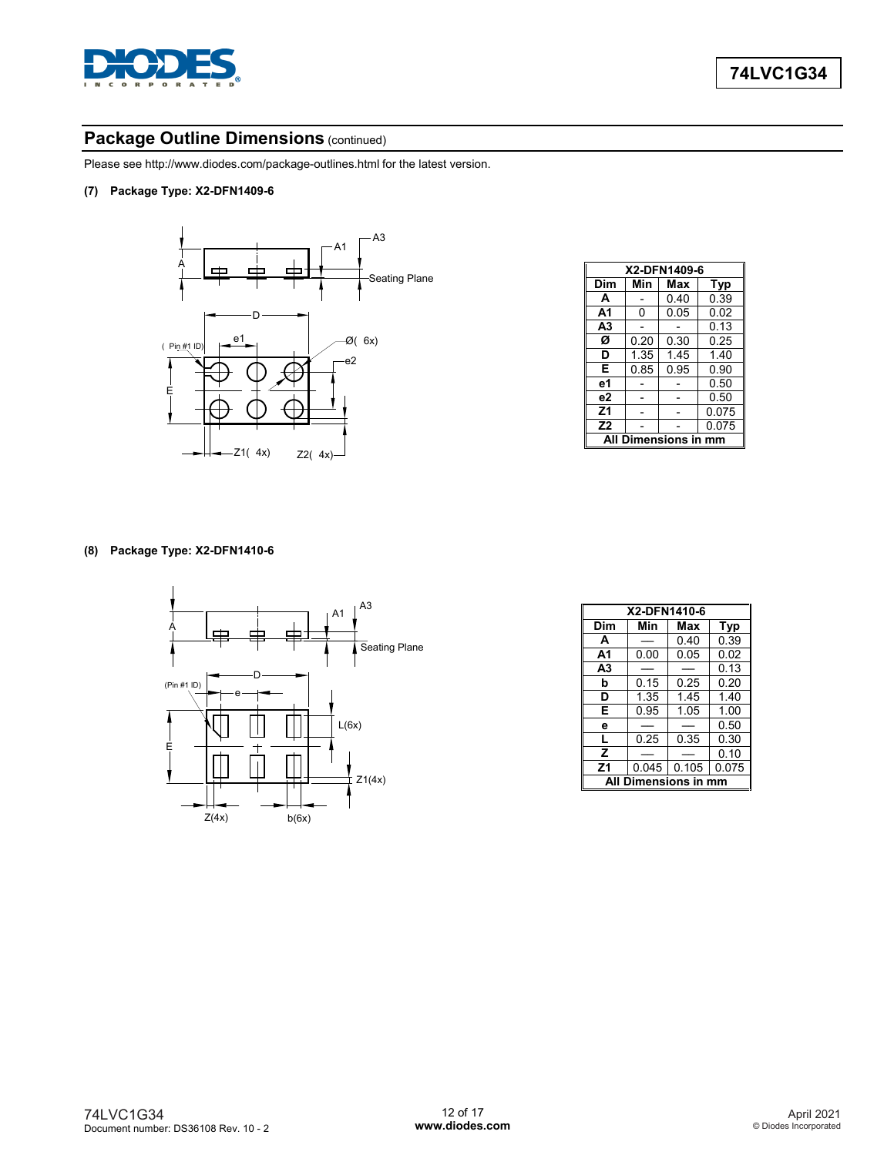

# **Package Outline Dimensions (continued)**

Please see http://www.diodes.com/package-outlines.html for the latest version.

**(7) Package Type: X2-DFN1409-6**



|                        | X2-DFN1409-6 |      |       |  |
|------------------------|--------------|------|-------|--|
| Dim                    | Min          | Max  | Typ   |  |
| A                      |              | 0.40 | 0.39  |  |
| А1                     | 0            | 0.05 | 0.02  |  |
| A3                     |              |      | 0.13  |  |
| Ø                      | 0.20         | 0.30 | 0.25  |  |
| D                      | 1.35         | 1.45 | 140   |  |
| Е                      | 0.85         | 0.95 | 0.90  |  |
| е1                     |              |      | 0.50  |  |
| e <sub>2</sub>         |              |      | 0.50  |  |
| Z1                     |              |      | 0.075 |  |
| Z <sub>2</sub>         |              |      | 0.075 |  |
| Dimensions in mm<br>ΔI |              |      |       |  |

#### **(8) Package Type: X2-DFN1410-6**



|                  | X2-DFN1410-6 |       |            |  |
|------------------|--------------|-------|------------|--|
| Dim              | Min          | Max   | <b>Typ</b> |  |
| A                |              | 0.40  | 0.39       |  |
| А1               | 0.00         | 0.05  | 0.02       |  |
| A <sub>3</sub>   |              |       | 0.13       |  |
| b                | 0.15         | 0.25  | 0.20       |  |
| D                | 1.35         | 1.45  | 1.40       |  |
| Е                | 0.95         | 1.05  | 1.00       |  |
| е                |              |       | 0.50       |  |
| L                | 0.25         | 0.35  | 0.30       |  |
| z                |              |       | 0.10       |  |
| Z <sub>1</sub>   | 0.045        | 0.105 | 0.075      |  |
| Dimensions in mm |              |       |            |  |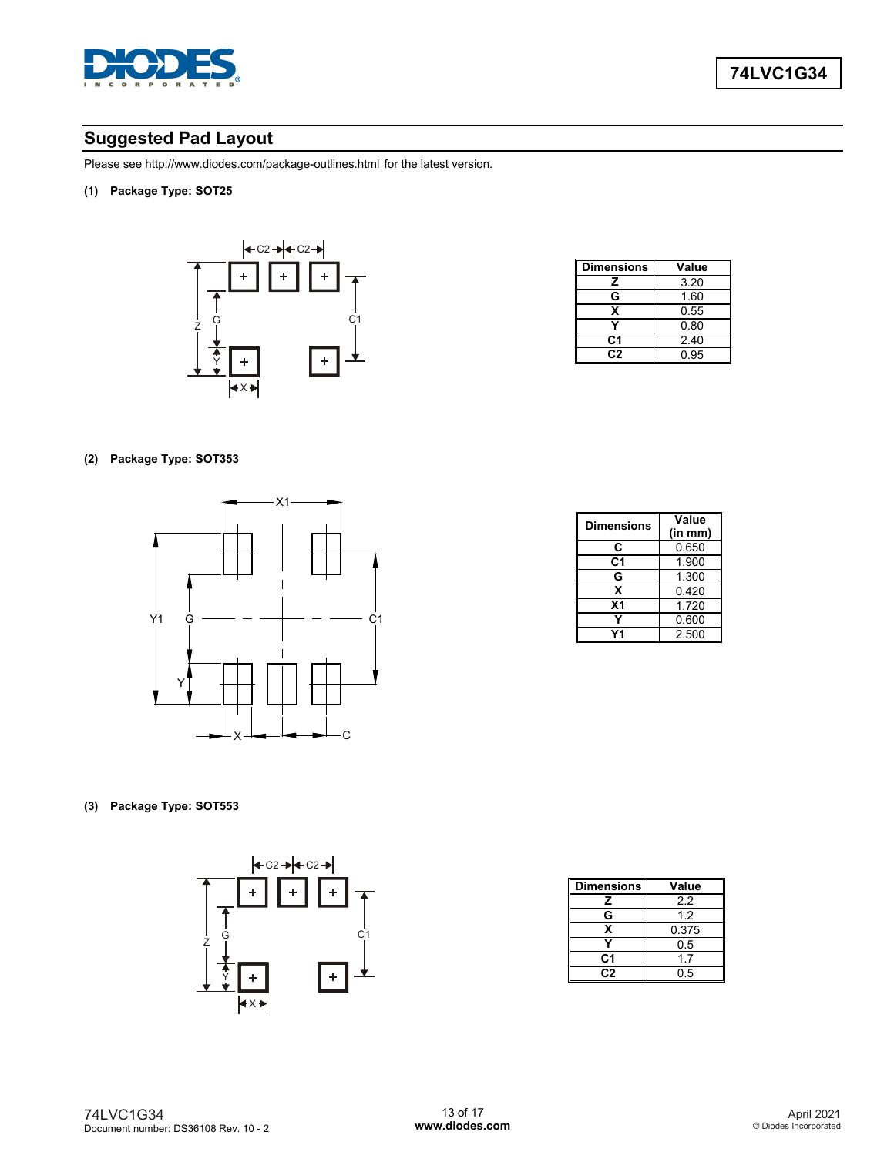

# **Suggested Pad Layout**

Please see http://www.diodes.com/package-outlines.html for the latest version.

**(1) Package Type: SOT25**



| <b>Dimensions</b> | Value |
|-------------------|-------|
| z                 | 3.20  |
| G                 | 1.60  |
| х                 | 0.55  |
|                   | 0.80  |
| C1                | 2.40  |
| C2                | 0.95  |

### **(2) Package Type: SOT353**



| <b>Dimensions</b> | Value   |  |
|-------------------|---------|--|
|                   | (in mm) |  |
| C                 | 0.650   |  |
| C1                | 1.900   |  |
| G                 | 1.300   |  |
| x                 | 0.420   |  |
| X <sub>1</sub>    | 1.720   |  |
|                   | 0.600   |  |
|                   | 2.500   |  |

**(3) Package Type: SOT553**



| <b>Dimensions</b> | Value |
|-------------------|-------|
| z                 | 22    |
| G                 | 12    |
| x                 | 0.375 |
|                   | 0.5   |
| C1                | 1.7   |
| C2                | 0.5   |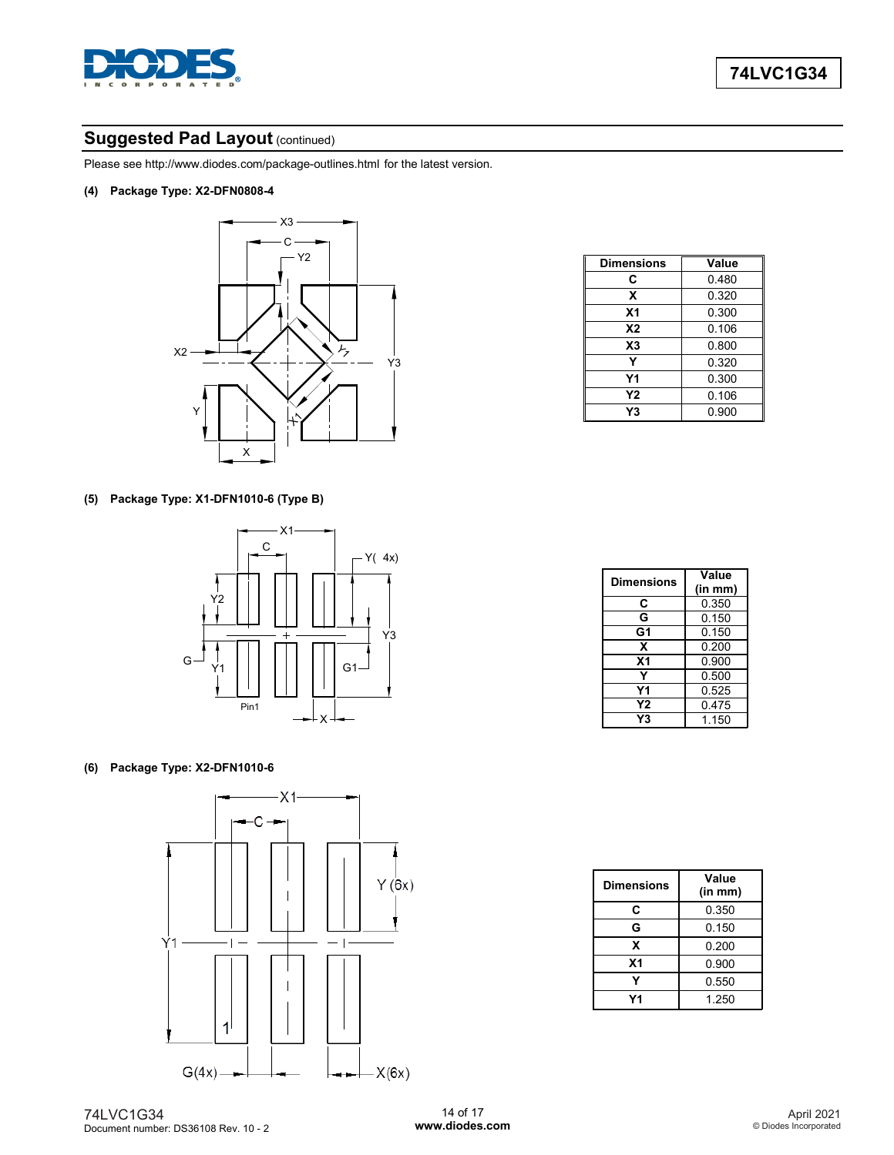

# **Suggested Pad Layout (continued)**

Please see http://www.diodes.com/package-outlines.html for the latest version.

**(4) Package Type: X2-DFN0808-4**



| <b>Dimensions</b> | Value |
|-------------------|-------|
| C                 | 0.480 |
| X                 | 0.320 |
| X <sub>1</sub>    | 0.300 |
| <b>X2</b>         | 0.106 |
| X3                | 0.800 |
| Y                 | 0.320 |
| Υ1                | 0.300 |
| Υ2                | 0.106 |
| Y3                | 0.900 |

### **(5) Package Type: X1-DFN1010-6 (Type B)**



### **(6) Package Type: X2-DFN1010-6**



| <b>Dimensions</b> | Value<br>(in mm) |
|-------------------|------------------|
| C                 | 0.350            |
| G                 | 0.150            |
| G1                | 0.150            |
| x                 | 0.200            |
| X <sub>1</sub>    | 0.900            |
| Y                 | 0.500            |
| Υ1                | 0.525            |
| Υ2                | 0.475            |
| Υ3                | 1.150            |

| <b>Dimensions</b> | Value<br>(in m <sub>m</sub> ) |
|-------------------|-------------------------------|
| C                 | 0.350                         |
| G                 | 0.150                         |
| x                 | 0.200                         |
| X <sub>1</sub>    | 0.900                         |
|                   | 0.550                         |
| 74                | 1.250                         |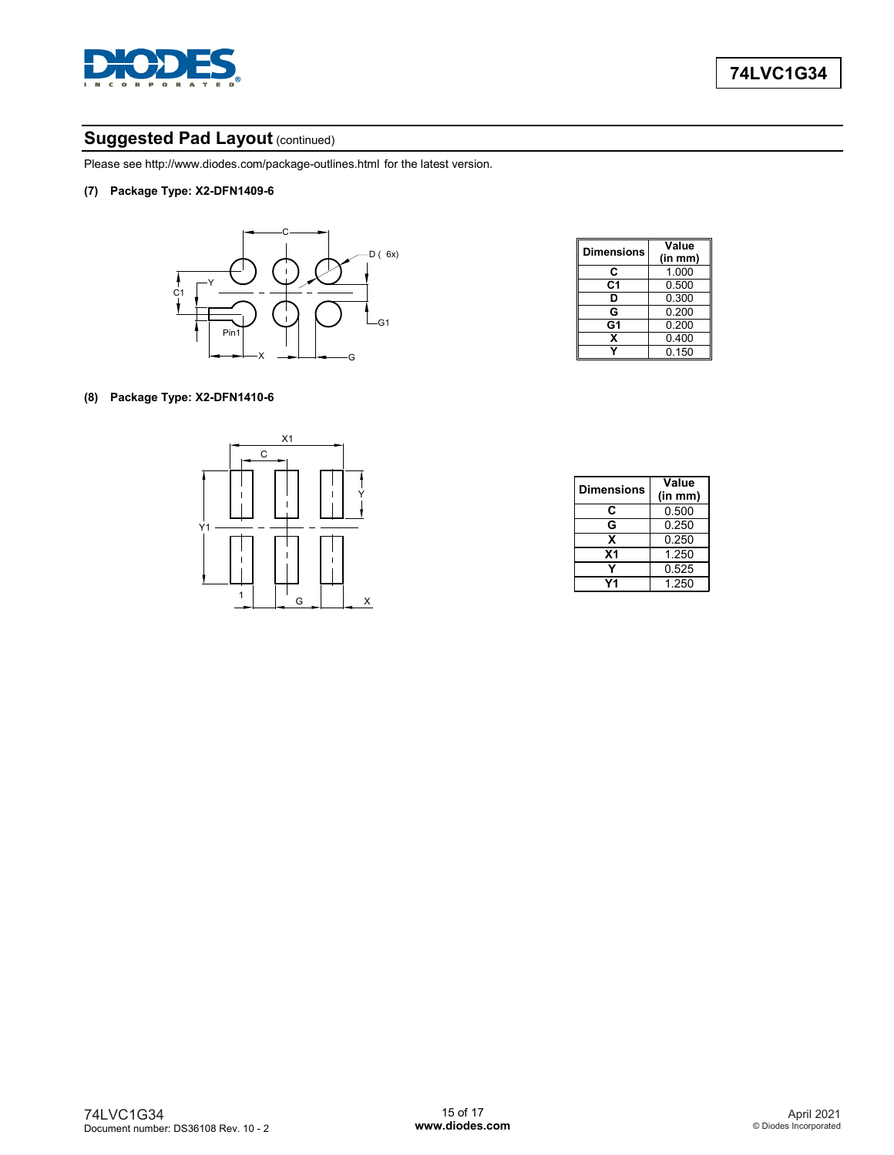

# **Suggested Pad Layout (continued)**

Please see http://www.diodes.com/package-outlines.html for the latest version.

**(7) Package Type: X2-DFN1409-6**



| <b>Dimensions</b> | Value   |
|-------------------|---------|
|                   | (in mm) |
| C                 | 1.000   |
| C1                | 0.500   |
| D                 | 0.300   |
| G                 | 0.200   |
| G1                | 0.200   |
| x                 | 0.400   |
|                   | 0.150   |

### **(8) Package Type: X2-DFN1410-6**



| <b>Dimensions</b> | Value<br>(in mm) |
|-------------------|------------------|
| C                 | 0.500            |
| G                 | 0.250            |
| x                 | 0.250            |
| X <sub>1</sub>    | 1.250            |
|                   | 0.525            |
| V1                | 1.250            |
|                   |                  |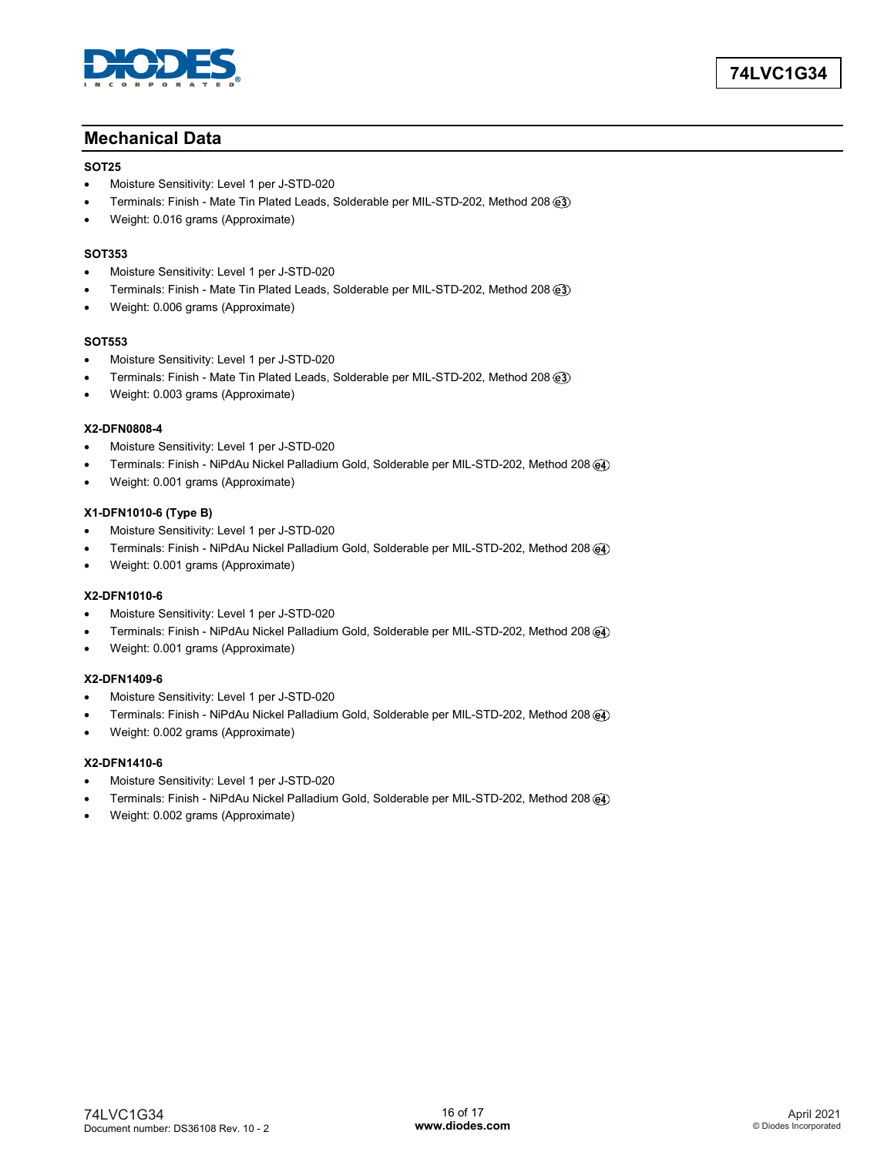

### **Mechanical Data**

#### **SOT25**

- Moisture Sensitivity: Level 1 per J-STD-020
- Terminals: Finish Mate Tin Plated Leads, Solderable per MIL-STD-202, Method 208
- Weight: 0.016 grams (Approximate)

#### **SOT353**

- Moisture Sensitivity: Level 1 per J-STD-020
- Terminals: Finish Mate Tin Plated Leads, Solderable per MIL-STD-202, Method 208
- Weight: 0.006 grams (Approximate)

#### **SOT553**

- Moisture Sensitivity: Level 1 per J-STD-020
- Terminals: Finish Mate Tin Plated Leads, Solderable per MIL-STD-202, Method 208
- Weight: 0.003 grams (Approximate)

### **X2-DFN0808-4**

- Moisture Sensitivity: Level 1 per J-STD-020
- Terminals: Finish NiPdAu Nickel Palladium Gold, Solderable per MIL-STD-202, Method 208
- Weight: 0.001 grams (Approximate)

#### **X1-DFN1010-6 (Type B)**

- Moisture Sensitivity: Level 1 per J-STD-020
- Terminals: Finish NiPdAu Nickel Palladium Gold, Solderable per MIL-STD-202, Method 208
- Weight: 0.001 grams (Approximate)

#### **X2-DFN1010-6**

- Moisture Sensitivity: Level 1 per J-STD-020
- Terminals: Finish NiPdAu Nickel Palladium Gold, Solderable per MIL-STD-202, Method 208
- Weight: 0.001 grams (Approximate)

#### **X2-DFN1409-6**

- Moisture Sensitivity: Level 1 per J-STD-020
- Terminals: Finish NiPdAu Nickel Palladium Gold, Solderable per MIL-STD-202, Method 208
- Weight: 0.002 grams (Approximate)

#### **X2-DFN1410-6**

- Moisture Sensitivity: Level 1 per J-STD-020
- Terminals: Finish NiPdAu Nickel Palladium Gold, Solderable per MIL-STD-202, Method 208
- Weight: 0.002 grams (Approximate)